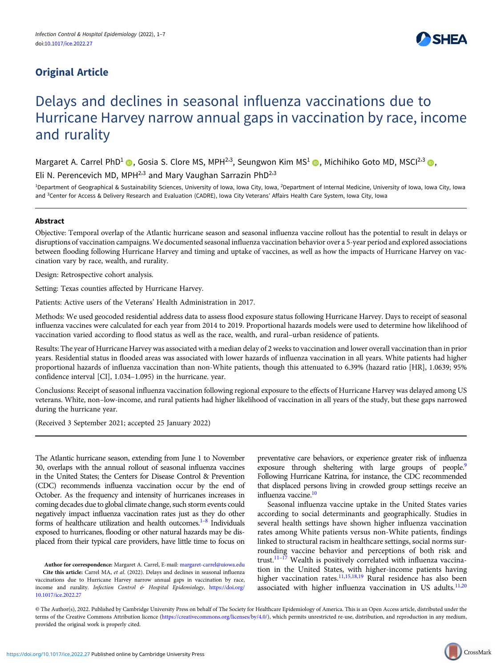# Original Article



# Delays and declines in seasonal influenza vaccinations due to Hurricane Harvey narrow annual gaps in vaccination by race, income and rurality

Margaret A. Carrel PhD<sup>1</sup> (D. Gosia S. Clore MS, MPH<sup>2,3</sup>, Seungwon Kim MS<sup>1</sup> (D. Michihiko Goto MD, MSCI<sup>2,3</sup> (D.

Eli N. Perencevich MD, MPH $^{2,3}$  and Mary Vaughan Sarrazin PhD $^{2,3}$ 

<sup>1</sup>Department of Geographical & Sustainability Sciences, University of Iowa, Iowa City, Iowa, <sup>2</sup>Department of Internal Medicine, University of Iowa, Iowa City, Iowa and <sup>3</sup>Center for Access & Delivery Research and Evaluation (CADRE), Iowa City Veterans' Affairs Health Care System, Iowa City, Iowa

# Abstract

Objective: Temporal overlap of the Atlantic hurricane season and seasonal influenza vaccine rollout has the potential to result in delays or disruptions of vaccination campaigns. We documented seasonal influenza vaccination behavior over a 5-year period and explored associations between flooding following Hurricane Harvey and timing and uptake of vaccines, as well as how the impacts of Hurricane Harvey on vaccination vary by race, wealth, and rurality.

Design: Retrospective cohort analysis.

Setting: Texas counties affected by Hurricane Harvey.

Patients: Active users of the Veterans' Health Administration in 2017.

Methods: We used geocoded residential address data to assess flood exposure status following Hurricane Harvey. Days to receipt of seasonal influenza vaccines were calculated for each year from 2014 to 2019. Proportional hazards models were used to determine how likelihood of vaccination varied according to flood status as well as the race, wealth, and rural–urban residence of patients.

Results: The year of Hurricane Harvey was associated with a median delay of 2 weeks to vaccination and lower overall vaccination than in prior years. Residential status in flooded areas was associated with lower hazards of influenza vaccination in all years. White patients had higher proportional hazards of influenza vaccination than non-White patients, though this attenuated to 6.39% (hazard ratio [HR], 1.0639; 95% confidence interval [CI], 1.034–1.095) in the hurricane. year.

Conclusions: Receipt of seasonal influenza vaccination following regional exposure to the effects of Hurricane Harvey was delayed among US veterans. White, non–low-income, and rural patients had higher likelihood of vaccination in all years of the study, but these gaps narrowed during the hurricane year.

(Received 3 September 2021; accepted 25 January 2022)

The Atlantic hurricane season, extending from June 1 to November 30, overlaps with the annual rollout of seasonal influenza vaccines in the United States; the Centers for Disease Control & Prevention (CDC) recommends influenza vaccination occur by the end of October. As the frequency and intensity of hurricanes increases in coming decades due to global climate change, such storm events could negatively impact influenza vaccination rates just as they do other forms of healthcare utilization and health outcomes. $1-8$  $1-8$  $1-8$  Individuals exposed to hurricanes, flooding or other natural hazards may be displaced from their typical care providers, have little time to focus on

Author for correspondence: Margaret A. Carrel, E-mail: [margaret-carrel@uiowa.edu](mailto:margaret-carrel@uiowa.edu) Cite this article: Carrel MA, et al. (2022). Delays and declines in seasonal influenza vaccinations due to Hurricane Harvey narrow annual gaps in vaccination by race, income and rurality. Infection Control & Hospital Epidemiology, [https://doi.org/](https://doi.org/10.1017/ice.2022.27) [10.1017/ice.2022.27](https://doi.org/10.1017/ice.2022.27)

preventative care behaviors, or experience greater risk of influenza exposure through sheltering with large groups of people.<sup>9</sup> Following Hurricane Katrina, for instance, the CDC recommended that displaced persons living in crowded group settings receive an influenza vaccine[.10](#page-6-0)

Seasonal influenza vaccine uptake in the United States varies according to social determinants and geographically. Studies in several health settings have shown higher influenza vaccination rates among White patients versus non-White patients, findings linked to structural racism in healthcare settings, social norms surrounding vaccine behavior and perceptions of both risk and trust.<sup>[11](#page-6-0)–[17](#page-6-0)</sup> Wealth is positively correlated with influenza vaccination in the United States, with higher-income patients having higher vaccination rates.<sup>[11,15,18](#page-6-0),[19](#page-6-0)</sup> Rural residence has also been associated with higher influenza vaccination in US adults.<sup>[11](#page-6-0),[20](#page-6-0)</sup>

© The Author(s), 2022. Published by Cambridge University Press on behalf of The Society for Healthcare Epidemiology of America. This is an Open Access article, distributed under the terms of the Creative Commons Attribution licence [\(https://creativecommons.org/licenses/by/4.0/\)](https://creativecommons.org/licenses/by/4.0/), which permits unrestricted re-use, distribution, and reproduction in any medium, provided the original work is properly cited.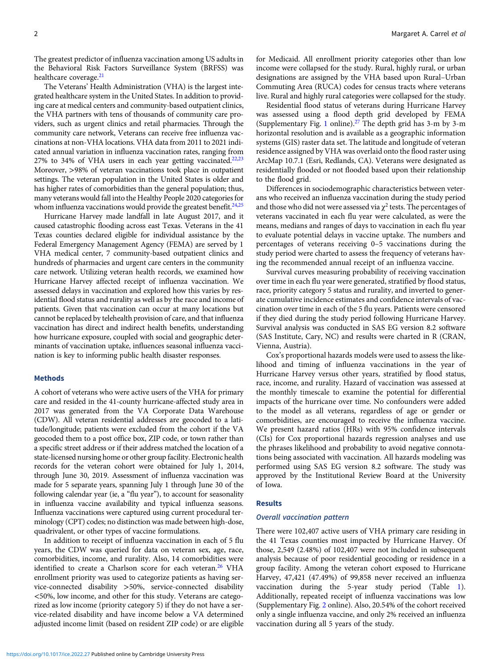The greatest predictor of influenza vaccination among US adults in the Behavioral Risk Factors Surveillance System (BRFSS) was healthcare coverage.<sup>21</sup>

The Veterans' Health Administration (VHA) is the largest integrated healthcare system in the United States. In addition to providing care at medical centers and community-based outpatient clinics, the VHA partners with tens of thousands of community care providers, such as urgent clinics and retail pharmacies. Through the community care network, Veterans can receive free influenza vaccinations at non-VHA locations. VHA data from 2011 to 2021 indicated annual variation in influenza vaccination rates, ranging from 27% to 34% of VHA users in each year getting vaccinated. $22,23$ Moreover, >98% of veteran vaccinations took place in outpatient settings. The veteran population in the United States is older and has higher rates of comorbidities than the general population; thus, many veterans would fall into the Healthy People 2020 categories for whom influenza vaccinations would provide the greatest benefit. $24,25$ 

Hurricane Harvey made landfall in late August 2017, and it caused catastrophic flooding across east Texas. Veterans in the 41 Texas counties declared eligible for individual assistance by the Federal Emergency Management Agency (FEMA) are served by 1 VHA medical center, 7 community-based outpatient clinics and hundreds of pharmacies and urgent care centers in the community care network. Utilizing veteran health records, we examined how Hurricane Harvey affected receipt of influenza vaccination. We assessed delays in vaccination and explored how this varies by residential flood status and rurality as well as by the race and income of patients. Given that vaccination can occur at many locations but cannot be replaced by telehealth provision of care, and that influenza vaccination has direct and indirect health benefits, understanding how hurricane exposure, coupled with social and geographic determinants of vaccination uptake, influences seasonal influenza vaccination is key to informing public health disaster responses.

## Methods

A cohort of veterans who were active users of the VHA for primary care and resided in the 41-county hurricane-affected study area in 2017 was generated from the VA Corporate Data Warehouse (CDW). All veteran residential addresses are geocoded to a latitude/longitude; patients were excluded from the cohort if the VA geocoded them to a post office box, ZIP code, or town rather than a specific street address or if their address matched the location of a state-licensed nursing home or other group facility. Electronic health records for the veteran cohort were obtained for July 1, 2014, through June 30, 2019. Assessment of influenza vaccination was made for 5 separate years, spanning July 1 through June 30 of the following calendar year (ie, a "flu year"), to account for seasonality in influenza vaccine availability and typical influenza seasons. Influenza vaccinations were captured using current procedural terminology (CPT) codes; no distinction was made between high-dose, quadrivalent, or other types of vaccine formulations.

In addition to receipt of influenza vaccination in each of 5 flu years, the CDW was queried for data on veteran sex, age, race, comorbidities, income, and rurality. Also, 14 comorbidities were identified to create a Charlson score for each veteran.<sup>[26](#page-6-0)</sup> VHA enrollment priority was used to categorize patients as having service-connected disability >50%, service-connected disability <50%, low income, and other for this study. Veterans are categorized as low income (priority category 5) if they do not have a service-related disability and have income below a VA determined adjusted income limit (based on resident ZIP code) or are eligible

for Medicaid. All enrollment priority categories other than low income were collapsed for the study. Rural, highly rural, or urban designations are assigned by the VHA based upon Rural–Urban Commuting Area (RUCA) codes for census tracts where veterans live. Rural and highly rural categories were collapsed for the study.

Residential flood status of veterans during Hurricane Harvey was assessed using a flood depth grid developed by FEMA (Supplementary Fig. [1](https://doi.org/10.1017/ice.2022.27) online).[27](#page-6-0) The depth grid has 3-m by 3-m horizontal resolution and is available as a geographic information systems (GIS) raster data set. The latitude and longitude of veteran residence assigned by VHA was overlaid onto the flood raster using ArcMap 10.7.1 (Esri, Redlands, CA). Veterans were designated as residentially flooded or not flooded based upon their relationship to the flood grid.

Differences in sociodemographic characteristics between veterans who received an influenza vaccination during the study period and those who did not were assessed via  $\chi^2$  tests. The percentages of veterans vaccinated in each flu year were calculated, as were the means, medians and ranges of days to vaccination in each flu year to evaluate potential delays in vaccine uptake. The numbers and percentages of veterans receiving 0–5 vaccinations during the study period were charted to assess the frequency of veterans having the recommended annual receipt of an influenza vaccine.

Survival curves measuring probability of receiving vaccination over time in each flu year were generated, stratified by flood status, race, priority category 5 status and rurality, and inverted to generate cumulative incidence estimates and confidence intervals of vaccination over time in each of the 5 flu years. Patients were censored if they died during the study period following Hurricane Harvey. Survival analysis was conducted in SAS EG version 8.2 software (SAS Institute, Cary, NC) and results were charted in R (CRAN, Vienna, Austria).

Cox's proportional hazards models were used to assess the likelihood and timing of influenza vaccinations in the year of Hurricane Harvey versus other years, stratified by flood status, race, income, and rurality. Hazard of vaccination was assessed at the monthly timescale to examine the potential for differential impacts of the hurricane over time. No confounders were added to the model as all veterans, regardless of age or gender or comorbidities, are encouraged to receive the influenza vaccine. We present hazard ratios (HRs) with 95% confidence intervals (CIs) for Cox proportional hazards regression analyses and use the phrases likelihood and probability to avoid negative connotations being associated with vaccination. All hazards modeling was performed using SAS EG version 8.2 software. The study was approved by the Institutional Review Board at the University of Iowa.

#### **Results**

#### Overall vaccination pattern

There were 102,407 active users of VHA primary care residing in the 41 Texas counties most impacted by Hurricane Harvey. Of those, 2,549 (2.48%) of 102,407 were not included in subsequent analysis because of poor residential geocoding or residence in a group facility. Among the veteran cohort exposed to Hurricane Harvey, 47,421 (47.49%) of 99,858 never received an influenza vaccination during the 5-year study period (Table [1](#page-2-0)). Additionally, repeated receipt of influenza vaccinations was low (Supplementary Fig. [2](https://doi.org/10.1017/ice.2022.27) online). Also, 20.54% of the cohort received only a single influenza vaccine, and only 2% received an influenza vaccination during all 5 years of the study.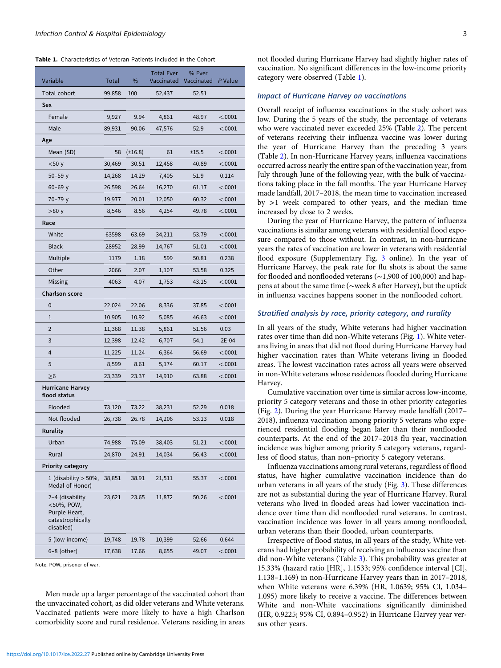<span id="page-2-0"></span>Table 1. Characteristics of Veteran Patients Included in the Cohort

| Variable                                                                        | Total  | %            | <b>Total Ever</b><br>Vaccinated | % Ever<br>Vaccinated P Value |         |
|---------------------------------------------------------------------------------|--------|--------------|---------------------------------|------------------------------|---------|
| Total cohort                                                                    | 99,858 | 100          | 52,437                          | 52.51                        |         |
| Sex                                                                             |        |              |                                 |                              |         |
| Female                                                                          | 9,927  | 9.94         | 4,861                           | 48.97                        | < .0001 |
| Male                                                                            | 89,931 | 90.06        | 47,576                          | 52.9                         | < .0001 |
| Age                                                                             |        |              |                                 |                              |         |
| Mean (SD)                                                                       | 58     | $(\pm 16.8)$ | 61                              | ±15.5                        | < .0001 |
| $<$ 50 y                                                                        | 30,469 | 30.51        | 12,458                          | 40.89                        | < .0001 |
| $50 - 59y$                                                                      | 14,268 | 14.29        | 7,405                           | 51.9                         | 0.114   |
| $60 - 69$ y                                                                     | 26,598 | 26.64        | 16,270                          | 61.17                        | < .0001 |
| 70-79 y                                                                         | 19,977 | 20.01        | 12,050                          | 60.32                        | < .0001 |
| >80 y                                                                           | 8,546  | 8.56         | 4,254                           | 49.78                        | < .0001 |
| Race                                                                            |        |              |                                 |                              |         |
| White                                                                           | 63598  | 63.69        | 34,211                          | 53.79                        | < .0001 |
| <b>Black</b>                                                                    | 28952  | 28.99        | 14,767                          | 51.01                        | < .0001 |
| Multiple                                                                        | 1179   | 1.18         | 599                             | 50.81                        | 0.238   |
| Other                                                                           | 2066   | 2.07         | 1,107                           | 53.58                        | 0.325   |
| Missing                                                                         | 4063   | 4.07         | 1,753                           | 43.15                        | < .0001 |
| Charlson score                                                                  |        |              |                                 |                              |         |
| 0                                                                               | 22,024 | 22.06        | 8,336                           | 37.85                        | < .0001 |
| $\mathbf{1}$                                                                    | 10,905 | 10.92        | 5,085                           | 46.63                        | < .0001 |
| 2                                                                               | 11,368 | 11.38        | 5,861                           | 51.56                        | 0.03    |
| 3                                                                               | 12,398 | 12.42        | 6,707                           | 54.1                         | 2E-04   |
| 4                                                                               | 11,225 | 11.24        | 6,364                           | 56.69                        | < .0001 |
| 5                                                                               | 8,599  | 8.61         | 5,174                           | 60.17                        | < .0001 |
| $\geq 6$                                                                        | 23,339 | 23.37        | 14,910                          | 63.88                        | < .0001 |
| <b>Hurricane Harvey</b><br>flood status                                         |        |              |                                 |                              |         |
| Flooded                                                                         | 73,120 | 73.22        | 38,231                          | 52.29                        | 0.018   |
| Not flooded                                                                     | 26,738 | 26.78        | 14,206                          | 53.13                        | 0.018   |
| Rurality                                                                        |        |              |                                 |                              |         |
| Urban                                                                           | 74,988 | 75.09        | 38,403                          | 51.21                        | < .0001 |
| Rural                                                                           | 24,870 | 24.91        | 14,034                          | 56.43                        | < .0001 |
| Priority category                                                               |        |              |                                 |                              |         |
| 1 (disability $>$ 50%,<br>Medal of Honor)                                       | 38,851 | 38.91        | 21,511                          | 55.37                        | < .0001 |
| 2-4 (disability<br><50%, POW,<br>Purple Heart,<br>catastrophically<br>disabled) | 23,621 | 23.65        | 11,872                          | 50.26                        | < .0001 |
| 5 (low income)                                                                  | 19,748 | 19.78        | 10,399                          | 52.66                        | 0.644   |
| 6-8 (other)                                                                     | 17,638 | 17.66        | 8,655                           | 49.07                        | < .0001 |

Note. POW, prisoner of war.

Men made up a larger percentage of the vaccinated cohort than the unvaccinated cohort, as did older veterans and White veterans. Vaccinated patients were more likely to have a high Charlson comorbidity score and rural residence. Veterans residing in areas not flooded during Hurricane Harvey had slightly higher rates of vaccination. No significant differences in the low-income priority category were observed (Table 1).

# Impact of Hurricane Harvey on vaccinations

Overall receipt of influenza vaccinations in the study cohort was low. During the 5 years of the study, the percentage of veterans who were vaccinated never exceeded 25% (Table [2\)](#page-3-0). The percent of veterans receiving their influenza vaccine was lower during the year of Hurricane Harvey than the preceding 3 years (Table [2\)](#page-3-0). In non-Hurricane Harvey years, influenza vaccinations occurred across nearly the entire span of the vaccination year, from July through June of the following year, with the bulk of vaccinations taking place in the fall months. The year Hurricane Harvey made landfall, 2017–2018, the mean time to vaccination increased by >1 week compared to other years, and the median time increased by close to 2 weeks.

During the year of Hurricane Harvey, the pattern of influenza vaccinations is similar among veterans with residential flood exposure compared to those without. In contrast, in non-hurricane years the rates of vaccination are lower in veterans with residential flood exposure (Supplementary Fig. [3](https://doi.org/10.1017/ice.2022.27) online). In the year of Hurricane Harvey, the peak rate for flu shots is about the same for flooded and nonflooded veterans (∼1,900 of 100,000) and happens at about the same time (∼week 8 after Harvey), but the uptick in influenza vaccines happens sooner in the nonflooded cohort.

# Stratified analysis by race, priority category, and rurality

In all years of the study, White veterans had higher vaccination rates over time than did non-White veterans (Fig. [1\)](#page-3-0). White veterans living in areas that did not flood during Hurricane Harvey had higher vaccination rates than White veterans living in flooded areas. The lowest vaccination rates across all years were observed in non-White veterans whose residences flooded during Hurricane Harvey.

Cumulative vaccination over time is similar across low-income, priority 5 category veterans and those in other priority categories (Fig. [2](#page-4-0)). During the year Hurricane Harvey made landfall (2017– 2018), influenza vaccination among priority 5 veterans who experienced residential flooding began later than their nonflooded counterparts. At the end of the 2017–2018 flu year, vaccination incidence was higher among priority 5 category veterans, regardless of flood status, than non–priority 5 category veterans.

Influenza vaccinations among rural veterans, regardless of flood status, have higher cumulative vaccination incidence than do urban veterans in all years of the study (Fig. [3](#page-4-0)). These differences are not as substantial during the year of Hurricane Harvey. Rural veterans who lived in flooded areas had lower vaccination incidence over time than did nonflooded rural veterans. In contrast, vaccination incidence was lower in all years among nonflooded, urban veterans than their flooded, urban counterparts.

Irrespective of flood status, in all years of the study, White veterans had higher probability of receiving an influenza vaccine than did non-White veterans (Table [3](#page-5-0)). This probability was greater at 15.33% (hazard ratio [HR], 1.1533; 95% confidence interval [CI], 1.138–1.169) in non-Hurricane Harvey years than in 2017–2018, when White veterans were 6.39% (HR, 1.0639; 95% CI, 1.034– 1.095) more likely to receive a vaccine. The differences between White and non-White vaccinations significantly diminished (HR, 0.9225; 95% CI, 0.894–0.952) in Hurricane Harvey year versus other years.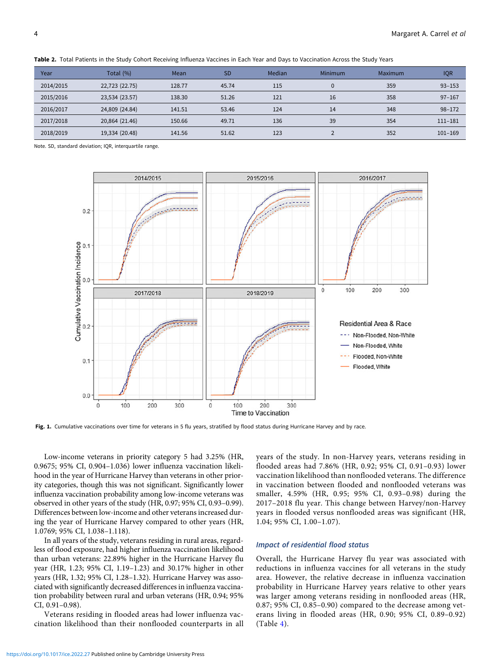| Year      | Total (%)      | Mean   | <b>SD</b> | Median | Minimum  | Maximum | <b>IQR</b>  |
|-----------|----------------|--------|-----------|--------|----------|---------|-------------|
| 2014/2015 | 22,723 (22.75) | 128.77 | 45.74     | 115    | $\Omega$ | 359     | $93 - 153$  |
| 2015/2016 | 23,534 (23.57) | 138.30 | 51.26     | 121    | 16       | 358     | $97 - 167$  |
| 2016/2017 | 24,809 (24.84) | 141.51 | 53.46     | 124    | 14       | 348     | $98 - 172$  |
| 2017/2018 | 20,864 (21.46) | 150.66 | 49.71     | 136    | 39       | 354     | $111 - 181$ |
| 2018/2019 | 19,334 (20.48) | 141.56 | 51.62     | 123    |          | 352     | $101 - 169$ |

<span id="page-3-0"></span>Table 2. Total Patients in the Study Cohort Receiving Influenza Vaccines in Each Year and Days to Vaccination Across the Study Years

Note. SD, standard deviation; IQR, interquartile range.



Fig. 1. Cumulative vaccinations over time for veterans in 5 flu years, stratified by flood status during Hurricane Harvey and by race.

Low-income veterans in priority category 5 had 3.25% (HR, 0.9675; 95% CI, 0.904–1.036) lower influenza vaccination likelihood in the year of Hurricane Harvey than veterans in other priority categories, though this was not significant. Significantly lower influenza vaccination probability among low-income veterans was observed in other years of the study (HR, 0.97; 95% CI, 0.93–0.99). Differences between low-income and other veterans increased during the year of Hurricane Harvey compared to other years (HR, 1.0769; 95% CI, 1.038–1.118).

In all years of the study, veterans residing in rural areas, regardless of flood exposure, had higher influenza vaccination likelihood than urban veterans: 22.89% higher in the Hurricane Harvey flu year (HR, 1.23; 95% CI, 1.19–1.23) and 30.17% higher in other years (HR, 1.32; 95% CI, 1.28–1.32). Hurricane Harvey was associated with significantly decreased differences in influenza vaccination probability between rural and urban veterans (HR, 0.94; 95% CI, 0.91–0.98).

Veterans residing in flooded areas had lower influenza vaccination likelihood than their nonflooded counterparts in all years of the study. In non-Harvey years, veterans residing in flooded areas had 7.86% (HR, 0.92; 95% CI, 0.91–0.93) lower vaccination likelihood than nonflooded veterans. The difference in vaccination between flooded and nonflooded veterans was smaller, 4.59% (HR, 0.95; 95% CI, 0.93–0.98) during the 2017–2018 flu year. This change between Harvey/non-Harvey years in flooded versus nonflooded areas was significant (HR, 1.04; 95% CI, 1.00–1.07).

# Impact of residential flood status

Overall, the Hurricane Harvey flu year was associated with reductions in influenza vaccines for all veterans in the study area. However, the relative decrease in influenza vaccination probability in Hurricane Harvey years relative to other years was larger among veterans residing in nonflooded areas (HR, 0.87; 95% CI, 0.85–0.90) compared to the decrease among veterans living in flooded areas (HR, 0.90; 95% CI, 0.89–0.92) (Table [4\)](#page-5-0).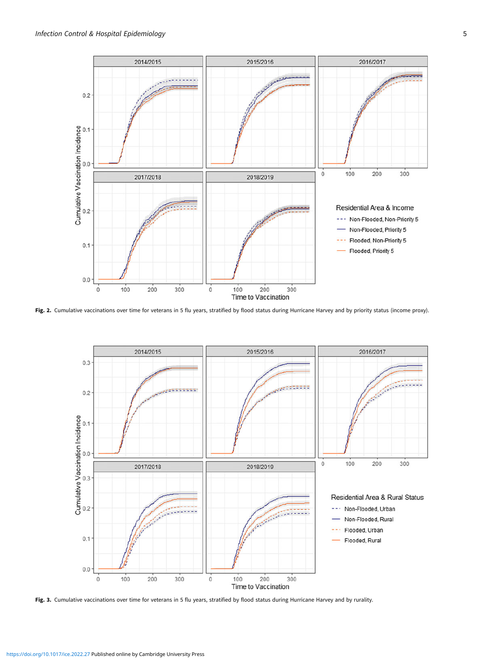<span id="page-4-0"></span>

Fig. 2. Cumulative vaccinations over time for veterans in 5 flu years, stratified by flood status during Hurricane Harvey and by priority status (income proxy).



Fig. 3. Cumulative vaccinations over time for veterans in 5 flu years, stratified by flood status during Hurricane Harvey and by rurality.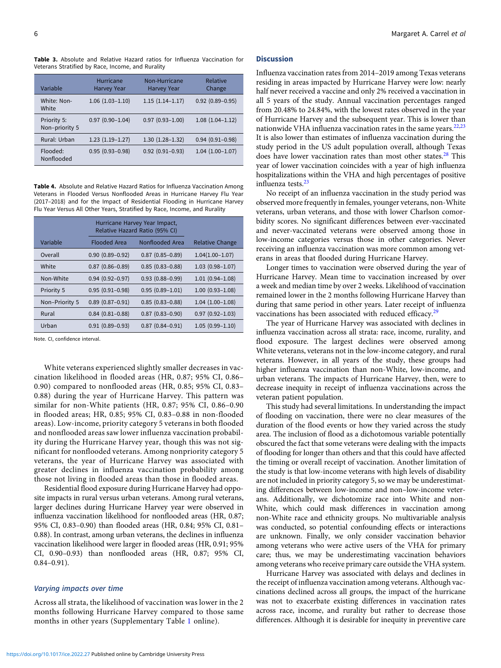<span id="page-5-0"></span>Table 3. Absolute and Relative Hazard ratios for Influenza Vaccination for Veterans Stratified by Race, Income, and Rurality

| Variable                      | Hurricane<br><b>Harvey Year</b> | Non-Hurricane<br><b>Harvey Year</b> | Relative<br>Change  |
|-------------------------------|---------------------------------|-------------------------------------|---------------------|
| White: Non-<br>White          | $1.06(1.03-1.10)$               | $1.15(1.14-1.17)$                   | $0.92(0.89 - 0.95)$ |
| Priority 5:<br>Non-priority 5 | $0.97(0.90 - 1.04)$             | $0.97(0.93 - 1.00)$                 | $1.08(1.04-1.12)$   |
| Rural: Urban                  | $1.23(1.19-1.27)$               | $1.30(1.28-1.32)$                   | $0.94(0.91 - 0.98)$ |
| Flooded:<br>Nonflooded        | $0.95(0.93 - 0.98)$             | $0.92(0.91 - 0.93)$                 | $1.04(1.00-1.07)$   |

Table 4. Absolute and Relative Hazard Ratios for Influenza Vaccination Among Veterans in Flooded Versus Nonflooded Areas in Hurricane Harvey Flu Year (2017–2018) and for the Impact of Residential Flooding in Hurricane Harvey Flu Year Versus All Other Years, Stratified by Race, Income, and Rurality

|                | Hurricane Harvey Year Impact,<br>Relative Hazard Ratio (95% CI) |                     |                        |
|----------------|-----------------------------------------------------------------|---------------------|------------------------|
| Variable       | <b>Flooded Area</b>                                             | Nonflooded Area     | <b>Relative Change</b> |
| Overall        | $0.90(0.89 - 0.92)$                                             | $0.87(0.85 - 0.89)$ | $1.04(1.00-1.07)$      |
| White          | $0.87$ $(0.86 - 0.89)$                                          | $0.85(0.83 - 0.88)$ | $1.03(0.98 - 1.07)$    |
| Non-White      | $0.94(0.92 - 0.97)$                                             | $0.93(0.88 - 0.99)$ | $1.01(0.94 - 1.08)$    |
| Priority 5     | $0.95(0.91 - 0.98)$                                             | $0.95(0.89 - 1.01)$ | $1.00(0.93 - 1.08)$    |
| Non-Priority 5 | $0.89(0.87 - 0.91)$                                             | $0.85(0.83 - 0.88)$ | $1.04(1.00-1.08)$      |
| Rural          | $0.84(0.81 - 0.88)$                                             | $0.87(0.83 - 0.90)$ | $0.97(0.92 - 1.03)$    |
| Urban          | $0.91(0.89 - 0.93)$                                             | $0.87(0.84 - 0.91)$ | $1.05(0.99 - 1.10)$    |

Note. CI, confidence interval.

White veterans experienced slightly smaller decreases in vaccination likelihood in flooded areas (HR, 0.87; 95% CI, 0.86– 0.90) compared to nonflooded areas (HR, 0.85; 95% CI, 0.83– 0.88) during the year of Hurricane Harvey. This pattern was similar for non-White patients (HR, 0.87; 95% CI, 0.86–0.90 in flooded areas; HR, 0.85; 95% CI, 0.83–0.88 in non-flooded areas). Low-income, priority category 5 veterans in both flooded and nonflooded areas saw lower influenza vaccination probability during the Hurricane Harvey year, though this was not significant for nonflooded veterans. Among nonpriority category 5 veterans, the year of Hurricane Harvey was associated with greater declines in influenza vaccination probability among those not living in flooded areas than those in flooded areas.

Residential flood exposure during Hurricane Harvey had opposite impacts in rural versus urban veterans. Among rural veterans, larger declines during Hurricane Harvey year were observed in influenza vaccination likelihood for nonflooded areas (HR, 0.87; 95% CI, 0.83–0.90) than flooded areas (HR, 0.84; 95% CI, 0.81– 0.88). In contrast, among urban veterans, the declines in influenza vaccination likelihood were larger in flooded areas (HR, 0.91; 95% CI, 0.90–0.93) than nonflooded areas (HR, 0.87; 95% CI, 0.84–0.91).

# Varying impacts over time

Across all strata, the likelihood of vaccination was lower in the 2 months following Hurricane Harvey compared to those same months in other years (Supplementary Table [1](https://doi.org/10.1017/ice.2022.27) online).

## Discussion

Influenza vaccination rates from 2014–2019 among Texas veterans residing in areas impacted by Hurricane Harvey were low: nearly half never received a vaccine and only 2% received a vaccination in all 5 years of the study. Annual vaccination percentages ranged from 20.48% to 24.84%, with the lowest rates observed in the year of Hurricane Harvey and the subsequent year. This is lower than nationwide VHA influenza vaccination rates in the same years. $22,23$ It is also lower than estimates of influenza vaccination during the study period in the US adult population overall, although Texas does have lower vaccination rates than most other states.<sup>[28](#page-6-0)</sup> This year of lower vaccination coincides with a year of high influenza hospitalizations within the VHA and high percentages of positive influenza tests.<sup>[23](#page-6-0)</sup>

No receipt of an influenza vaccination in the study period was observed more frequently in females, younger veterans, non-White veterans, urban veterans, and those with lower Charlson comorbidity scores. No significant differences between ever-vaccinated and never-vaccinated veterans were observed among those in low-income categories versus those in other categories. Never receiving an influenza vaccination was more common among veterans in areas that flooded during Hurricane Harvey.

Longer times to vaccination were observed during the year of Hurricane Harvey. Mean time to vaccination increased by over a week and median time by over 2 weeks. Likelihood of vaccination remained lower in the 2 months following Hurricane Harvey than during that same period in other years. Later receipt of influenza vaccinations has been associated with reduced efficacy.<sup>[29](#page-6-0)</sup>

The year of Hurricane Harvey was associated with declines in influenza vaccination across all strata: race, income, rurality, and flood exposure. The largest declines were observed among White veterans, veterans not in the low-income category, and rural veterans. However, in all years of the study, these groups had higher influenza vaccination than non-White, low-income, and urban veterans. The impacts of Hurricane Harvey, then, were to decrease inequity in receipt of influenza vaccinations across the veteran patient population.

This study had several limitations. In understanding the impact of flooding on vaccination, there were no clear measures of the duration of the flood events or how they varied across the study area. The inclusion of flood as a dichotomous variable potentially obscured the fact that some veterans were dealing with the impacts of flooding for longer than others and that this could have affected the timing or overall receipt of vaccination. Another limitation of the study is that low-income veterans with high levels of disability are not included in priority category 5, so we may be underestimating differences between low-income and non–low-income veterans. Additionally, we dichotomize race into White and non-White, which could mask differences in vaccination among non-White race and ethnicity groups. No multivariable analysis was conducted, so potential confounding effects or interactions are unknown. Finally, we only consider vaccination behavior among veterans who were active users of the VHA for primary care; thus, we may be underestimating vaccination behaviors among veterans who receive primary care outside the VHA system.

Hurricane Harvey was associated with delays and declines in the receipt of influenza vaccination among veterans. Although vaccinations declined across all groups, the impact of the hurricane was not to exacerbate existing differences in vaccination rates across race, income, and rurality but rather to decrease those differences. Although it is desirable for inequity in preventive care